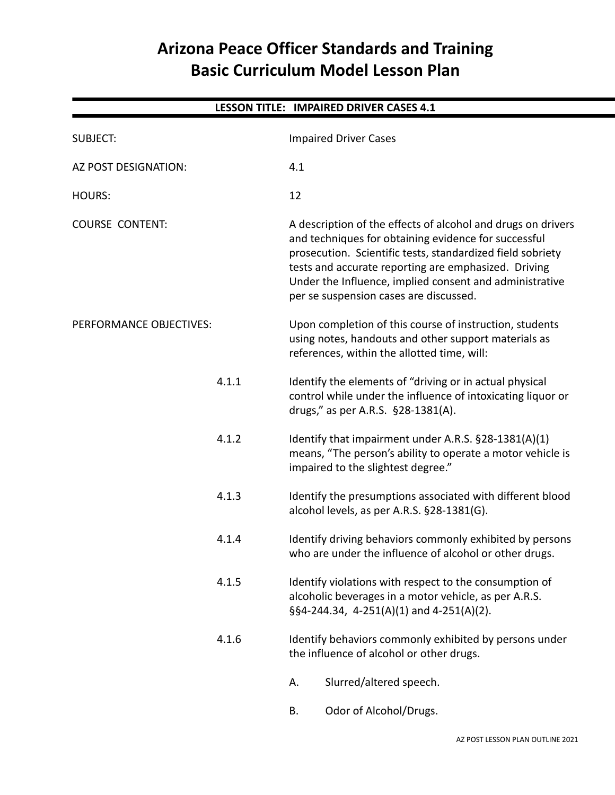# **Arizona Peace Officer Standards and Training Basic Curriculum Model Lesson Plan**

|                         |       | <b>LESSON TITLE: IMPAIRED DRIVER CASES 4.1</b>                                                                                                                                                                                                                                                                                                  |
|-------------------------|-------|-------------------------------------------------------------------------------------------------------------------------------------------------------------------------------------------------------------------------------------------------------------------------------------------------------------------------------------------------|
| <b>SUBJECT:</b>         |       | <b>Impaired Driver Cases</b>                                                                                                                                                                                                                                                                                                                    |
| AZ POST DESIGNATION:    |       | 4.1                                                                                                                                                                                                                                                                                                                                             |
| <b>HOURS:</b>           |       | 12                                                                                                                                                                                                                                                                                                                                              |
| <b>COURSE CONTENT:</b>  |       | A description of the effects of alcohol and drugs on drivers<br>and techniques for obtaining evidence for successful<br>prosecution. Scientific tests, standardized field sobriety<br>tests and accurate reporting are emphasized. Driving<br>Under the Influence, implied consent and administrative<br>per se suspension cases are discussed. |
| PERFORMANCE OBJECTIVES: |       | Upon completion of this course of instruction, students<br>using notes, handouts and other support materials as<br>references, within the allotted time, will:                                                                                                                                                                                  |
|                         | 4.1.1 | Identify the elements of "driving or in actual physical<br>control while under the influence of intoxicating liquor or<br>drugs," as per A.R.S. §28-1381(A).                                                                                                                                                                                    |
|                         | 4.1.2 | Identify that impairment under A.R.S. §28-1381(A)(1)<br>means, "The person's ability to operate a motor vehicle is<br>impaired to the slightest degree."                                                                                                                                                                                        |
|                         | 4.1.3 | Identify the presumptions associated with different blood<br>alcohol levels, as per A.R.S. §28-1381(G).                                                                                                                                                                                                                                         |
|                         | 4.1.4 | Identify driving behaviors commonly exhibited by persons<br>who are under the influence of alcohol or other drugs.                                                                                                                                                                                                                              |
|                         | 4.1.5 | Identify violations with respect to the consumption of<br>alcoholic beverages in a motor vehicle, as per A.R.S.<br>$\S$ §4-244.34, 4-251(A)(1) and 4-251(A)(2).                                                                                                                                                                                 |
|                         | 4.1.6 | Identify behaviors commonly exhibited by persons under<br>the influence of alcohol or other drugs.                                                                                                                                                                                                                                              |
|                         |       | Slurred/altered speech.<br>А.                                                                                                                                                                                                                                                                                                                   |
|                         |       | Odor of Alcohol/Drugs.<br>В.                                                                                                                                                                                                                                                                                                                    |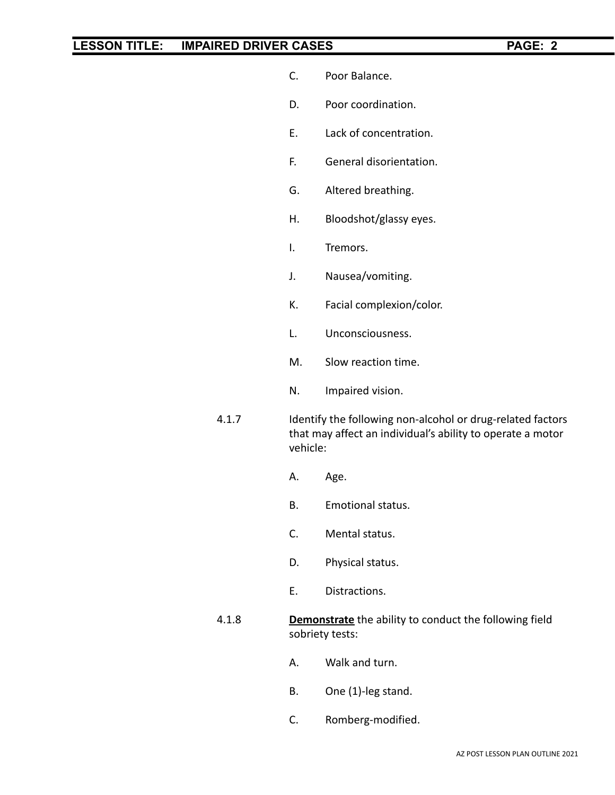- C. Poor Balance.
- D. Poor coordination.
- E. Lack of concentration.
- F. General disorientation.
- G. Altered breathing.
- H. Bloodshot/glassy eyes.
- I. Tremors.
- J. Nausea/vomiting.
- K. Facial complexion/color.
- L. Unconsciousness.
- M. Slow reaction time.
- N. Impaired vision.
- 4.1.7 Identify the following non-alcohol or drug-related factors that may affect an individual's ability to operate a motor vehicle:
	- A. Age.
	- B. Emotional status.
	- C. Mental status.
	- D. Physical status.
	- E. Distractions.
- 4.1.8 **Demonstrate** the ability to conduct the following field sobriety tests:
	- A. Walk and turn.
	- B. One (1)-leg stand.
	- C. Romberg-modified.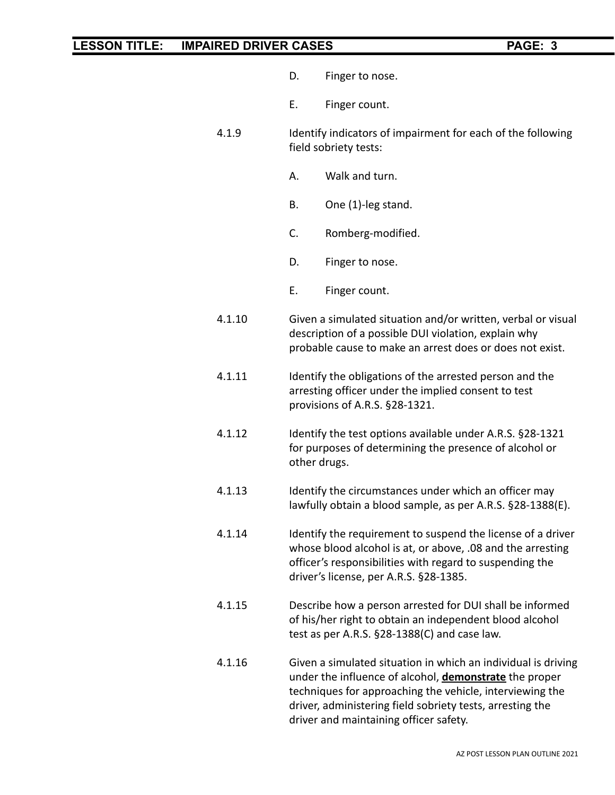| <b>LESSON TITLE:</b> | <b>IMPAIRED DRIVER CASES</b> |    | PAGE: 3                                                                                                                                                                                                                                                                                    |  |
|----------------------|------------------------------|----|--------------------------------------------------------------------------------------------------------------------------------------------------------------------------------------------------------------------------------------------------------------------------------------------|--|
|                      |                              | D. | Finger to nose.                                                                                                                                                                                                                                                                            |  |
|                      |                              | Ε. | Finger count.                                                                                                                                                                                                                                                                              |  |
|                      | 4.1.9                        |    | Identify indicators of impairment for each of the following<br>field sobriety tests:                                                                                                                                                                                                       |  |
|                      |                              | А. | Walk and turn.                                                                                                                                                                                                                                                                             |  |
|                      |                              | В. | One (1)-leg stand.                                                                                                                                                                                                                                                                         |  |
|                      |                              | C. | Romberg-modified.                                                                                                                                                                                                                                                                          |  |
|                      |                              | D. | Finger to nose.                                                                                                                                                                                                                                                                            |  |
|                      |                              | Ε. | Finger count.                                                                                                                                                                                                                                                                              |  |
|                      | 4.1.10                       |    | Given a simulated situation and/or written, verbal or visual<br>description of a possible DUI violation, explain why<br>probable cause to make an arrest does or does not exist.                                                                                                           |  |
|                      | 4.1.11                       |    | Identify the obligations of the arrested person and the<br>arresting officer under the implied consent to test<br>provisions of A.R.S. §28-1321.                                                                                                                                           |  |
|                      | 4.1.12                       |    | Identify the test options available under A.R.S. §28-1321<br>for purposes of determining the presence of alcohol or<br>other drugs.                                                                                                                                                        |  |
|                      | 4.1.13                       |    | Identify the circumstances under which an officer may<br>lawfully obtain a blood sample, as per A.R.S. §28-1388(E).                                                                                                                                                                        |  |
|                      | 4.1.14                       |    | Identify the requirement to suspend the license of a driver<br>whose blood alcohol is at, or above, .08 and the arresting<br>officer's responsibilities with regard to suspending the<br>driver's license, per A.R.S. §28-1385.                                                            |  |
|                      | 4.1.15                       |    | Describe how a person arrested for DUI shall be informed<br>of his/her right to obtain an independent blood alcohol<br>test as per A.R.S. §28-1388(C) and case law.                                                                                                                        |  |
|                      | 4.1.16                       |    | Given a simulated situation in which an individual is driving<br>under the influence of alcohol, demonstrate the proper<br>techniques for approaching the vehicle, interviewing the<br>driver, administering field sobriety tests, arresting the<br>driver and maintaining officer safety. |  |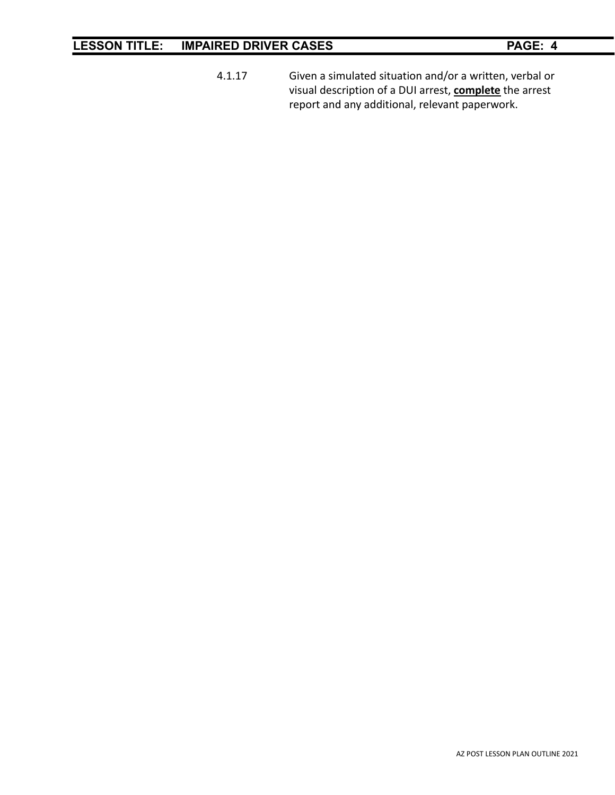4.1.17 Given a simulated situation and/or a written, verbal or visual description of a DUI arrest, **complete** the arrest report and any additional, relevant paperwork.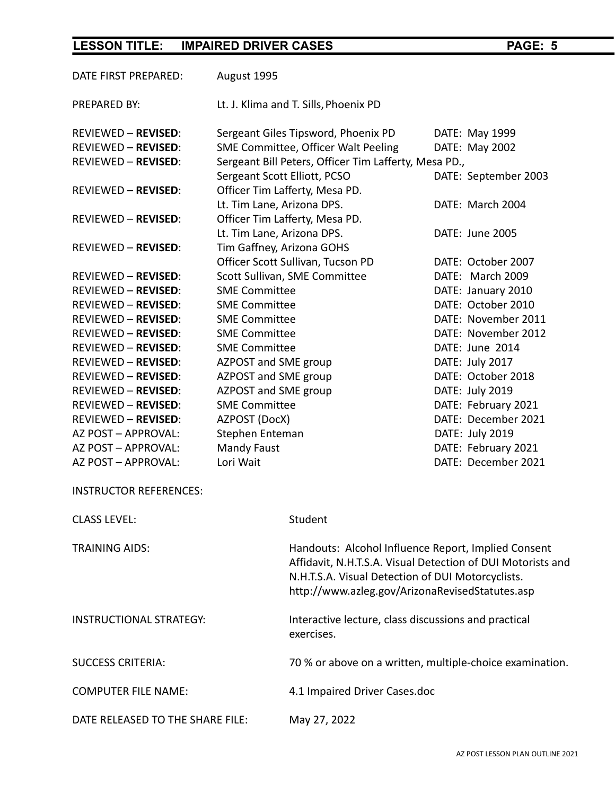| DATE FIRST PREPARED:                       | August 1995                     |                                                                                                                                                                                                                            |  |                                            |
|--------------------------------------------|---------------------------------|----------------------------------------------------------------------------------------------------------------------------------------------------------------------------------------------------------------------------|--|--------------------------------------------|
| PREPARED BY:                               |                                 | Lt. J. Klima and T. Sills, Phoenix PD                                                                                                                                                                                      |  |                                            |
| <b>REVIEWED - REVISED:</b>                 |                                 | Sergeant Giles Tipsword, Phoenix PD                                                                                                                                                                                        |  | DATE: May 1999                             |
| <b>REVIEWED - REVISED:</b>                 |                                 | SME Committee, Officer Walt Peeling                                                                                                                                                                                        |  | DATE: May 2002                             |
| <b>REVIEWED - REVISED:</b>                 |                                 | Sergeant Bill Peters, Officer Tim Lafferty, Mesa PD.,                                                                                                                                                                      |  |                                            |
|                                            | Sergeant Scott Elliott, PCSO    |                                                                                                                                                                                                                            |  | DATE: September 2003                       |
| <b>REVIEWED - REVISED:</b>                 |                                 | Officer Tim Lafferty, Mesa PD.                                                                                                                                                                                             |  |                                            |
|                                            | Lt. Tim Lane, Arizona DPS.      |                                                                                                                                                                                                                            |  | DATE: March 2004                           |
| <b>REVIEWED - REVISED:</b>                 |                                 | Officer Tim Lafferty, Mesa PD.                                                                                                                                                                                             |  |                                            |
|                                            | Lt. Tim Lane, Arizona DPS.      |                                                                                                                                                                                                                            |  | DATE: June 2005                            |
| <b>REVIEWED - REVISED:</b>                 | Tim Gaffney, Arizona GOHS       |                                                                                                                                                                                                                            |  |                                            |
|                                            |                                 | Officer Scott Sullivan, Tucson PD                                                                                                                                                                                          |  | DATE: October 2007                         |
| <b>REVIEWED - REVISED:</b>                 |                                 | Scott Sullivan, SME Committee                                                                                                                                                                                              |  | DATE: March 2009                           |
| <b>REVIEWED - REVISED:</b>                 | <b>SME Committee</b>            |                                                                                                                                                                                                                            |  | DATE: January 2010                         |
| <b>REVIEWED - REVISED:</b>                 | <b>SME Committee</b>            |                                                                                                                                                                                                                            |  | DATE: October 2010                         |
| <b>REVIEWED - REVISED:</b>                 | <b>SME Committee</b>            |                                                                                                                                                                                                                            |  | DATE: November 2011                        |
| <b>REVIEWED - REVISED:</b>                 | <b>SME Committee</b>            |                                                                                                                                                                                                                            |  | DATE: November 2012                        |
| <b>REVIEWED - REVISED:</b>                 | <b>SME Committee</b>            |                                                                                                                                                                                                                            |  | DATE: June 2014                            |
| <b>REVIEWED - REVISED:</b>                 | AZPOST and SME group            |                                                                                                                                                                                                                            |  | DATE: July 2017                            |
| <b>REVIEWED - REVISED:</b>                 | AZPOST and SME group            |                                                                                                                                                                                                                            |  | DATE: October 2018                         |
| <b>REVIEWED - REVISED:</b>                 | AZPOST and SME group            |                                                                                                                                                                                                                            |  | DATE: July 2019                            |
| <b>REVIEWED - REVISED:</b>                 | <b>SME Committee</b>            |                                                                                                                                                                                                                            |  | DATE: February 2021                        |
| <b>REVIEWED - REVISED:</b>                 | AZPOST (DocX)                   |                                                                                                                                                                                                                            |  | DATE: December 2021                        |
| AZ POST - APPROVAL:                        | Stephen Enteman                 |                                                                                                                                                                                                                            |  | DATE: July 2019                            |
| AZ POST - APPROVAL:<br>AZ POST - APPROVAL: | <b>Mandy Faust</b><br>Lori Wait |                                                                                                                                                                                                                            |  | DATE: February 2021<br>DATE: December 2021 |
|                                            |                                 |                                                                                                                                                                                                                            |  |                                            |
| <b>INSTRUCTOR REFERENCES:</b>              |                                 |                                                                                                                                                                                                                            |  |                                            |
| <b>CLASS LEVEL:</b>                        |                                 | Student                                                                                                                                                                                                                    |  |                                            |
| <b>TRAINING AIDS:</b>                      |                                 | Handouts: Alcohol Influence Report, Implied Consent<br>Affidavit, N.H.T.S.A. Visual Detection of DUI Motorists and<br>N.H.T.S.A. Visual Detection of DUI Motorcyclists.<br>http://www.azleg.gov/ArizonaRevisedStatutes.asp |  |                                            |
| <b>INSTRUCTIONAL STRATEGY:</b>             |                                 | Interactive lecture, class discussions and practical<br>exercises.                                                                                                                                                         |  |                                            |
| <b>SUCCESS CRITERIA:</b>                   |                                 | 70 % or above on a written, multiple-choice examination.                                                                                                                                                                   |  |                                            |
| <b>COMPUTER FILE NAME:</b>                 |                                 | 4.1 Impaired Driver Cases.doc                                                                                                                                                                                              |  |                                            |
| DATE RELEASED TO THE SHARE FILE:           |                                 | May 27, 2022                                                                                                                                                                                                               |  |                                            |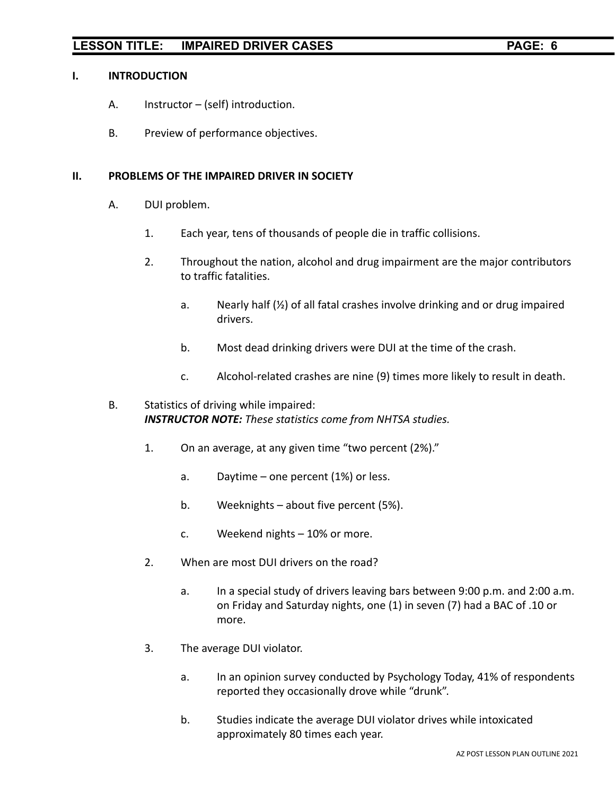#### **I. INTRODUCTION**

- A. Instructor (self) introduction.
- B. Preview of performance objectives.

#### **II. PROBLEMS OF THE IMPAIRED DRIVER IN SOCIETY**

- A. DUI problem.
	- 1. Each year, tens of thousands of people die in traffic collisions.
	- 2. Throughout the nation, alcohol and drug impairment are the major contributors to traffic fatalities.
		- a. Nearly half  $\mathcal{V}_2$  of all fatal crashes involve drinking and or drug impaired drivers.
		- b. Most dead drinking drivers were DUI at the time of the crash.
		- c. Alcohol-related crashes are nine (9) times more likely to result in death.
- B. Statistics of driving while impaired: *INSTRUCTOR NOTE: These statistics come from NHTSA studies.*
	- 1. On an average, at any given time "two percent (2%)."
		- a. Daytime one percent (1%) or less.
		- b. Weeknights about five percent (5%).
		- c. Weekend nights 10% or more.
	- 2. When are most DUI drivers on the road?
		- a. In a special study of drivers leaving bars between 9:00 p.m. and 2:00 a.m. on Friday and Saturday nights, one (1) in seven (7) had a BAC of .10 or more.
	- 3. The average DUI violator.
		- a. In an opinion survey conducted by Psychology Today, 41% of respondents reported they occasionally drove while "drunk".
		- b. Studies indicate the average DUI violator drives while intoxicated approximately 80 times each year.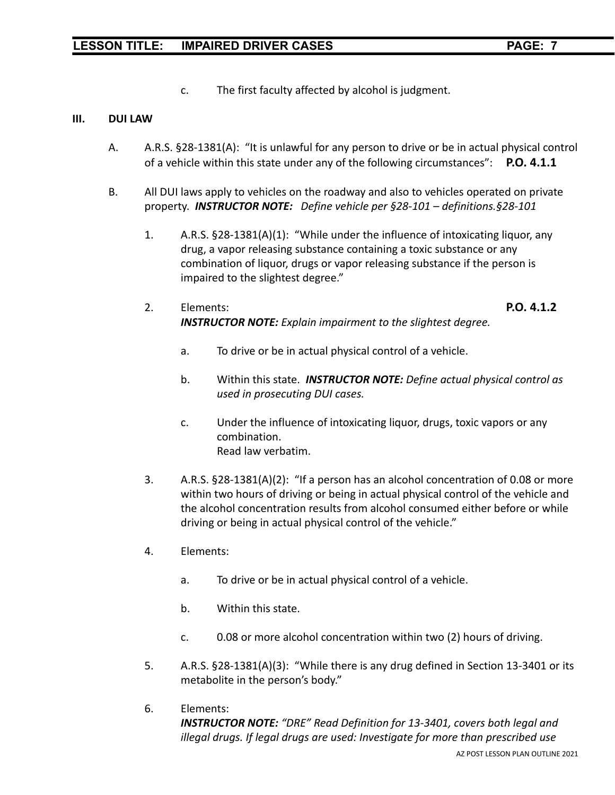c. The first faculty affected by alcohol is judgment.

#### **III. DUI LAW**

- A. A.R.S. §28-1381(A): "It is unlawful for any person to drive or be in actual physical control of a vehicle within this state under any of the following circumstances": **P.O. 4.1.1**
- B. All DUI laws apply to vehicles on the roadway and also to vehicles operated on private property. *INSTRUCTOR NOTE: Define vehicle per §28-101 – definitions.§28-101*
	- 1. A.R.S. §28-1381(A)(1): "While under the influence of intoxicating liquor, any drug, a vapor releasing substance containing a toxic substance or any combination of liquor, drugs or vapor releasing substance if the person is impaired to the slightest degree."
	- 2. Elements: **P.O. 4.1.2** *INSTRUCTOR NOTE: Explain impairment to the slightest degree.*
		- a. To drive or be in actual physical control of a vehicle.
		- b. Within this state. *INSTRUCTOR NOTE: Define actual physical control as used in prosecuting DUI cases.*
		- c. Under the influence of intoxicating liquor, drugs, toxic vapors or any combination. Read law verbatim.
	- 3. A.R.S. §28-1381(A)(2): "If a person has an alcohol concentration of 0.08 or more within two hours of driving or being in actual physical control of the vehicle and the alcohol concentration results from alcohol consumed either before or while driving or being in actual physical control of the vehicle."
	- 4. Elements:
		- a. To drive or be in actual physical control of a vehicle.
		- b. Within this state.
		- c. 0.08 or more alcohol concentration within two (2) hours of driving.
	- 5. A.R.S. §28-1381(A)(3): "While there is any drug defined in Section 13-3401 or its metabolite in the person's body."
	- 6. Elements:

*INSTRUCTOR NOTE: "DRE" Read Definition for 13-3401, covers both legal and illegal drugs. If legal drugs are used: Investigate for more than prescribed use*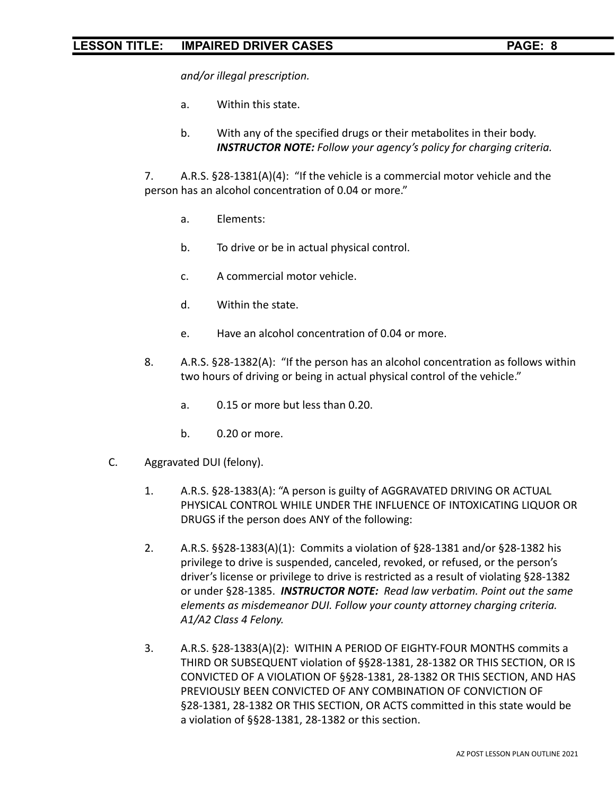*and/or illegal prescription.*

- a. Within this state.
- b. With any of the specified drugs or their metabolites in their body. *INSTRUCTOR NOTE: Follow your agency's policy for charging criteria.*

7. A.R.S. §28-1381(A)(4): "If the vehicle is a commercial motor vehicle and the person has an alcohol concentration of 0.04 or more."

- a. Elements:
- b. To drive or be in actual physical control.
- c. A commercial motor vehicle.
- d. Within the state.
- e. Have an alcohol concentration of 0.04 or more.
- 8. A.R.S. §28-1382(A): "If the person has an alcohol concentration as follows within two hours of driving or being in actual physical control of the vehicle."
	- a. 0.15 or more but less than 0.20.
	- b. 0.20 or more.
- C. Aggravated DUI (felony).
	- 1. A.R.S. §28-1383(A): "A person is guilty of AGGRAVATED DRIVING OR ACTUAL PHYSICAL CONTROL WHILE UNDER THE INFLUENCE OF INTOXICATING LIQUOR OR DRUGS if the person does ANY of the following:
	- 2. A.R.S. §§28-1383(A)(1): Commits a violation of §28-1381 and/or §28-1382 his privilege to drive is suspended, canceled, revoked, or refused, or the person's driver's license or privilege to drive is restricted as a result of violating §28-1382 or under §28-1385. *INSTRUCTOR NOTE: Read law verbatim. Point out the same elements as misdemeanor DUI. Follow your county attorney charging criteria. A1/A2 Class 4 Felony.*
	- 3. A.R.S. §28-1383(A)(2): WITHIN A PERIOD OF EIGHTY-FOUR MONTHS commits a THIRD OR SUBSEQUENT violation of §§28-1381, 28-1382 OR THIS SECTION, OR IS CONVICTED OF A VIOLATION OF §§28-1381, 28-1382 OR THIS SECTION, AND HAS PREVIOUSLY BEEN CONVICTED OF ANY COMBINATION OF CONVICTION OF §28-1381, 28-1382 OR THIS SECTION, OR ACTS committed in this state would be a violation of §§28-1381, 28-1382 or this section.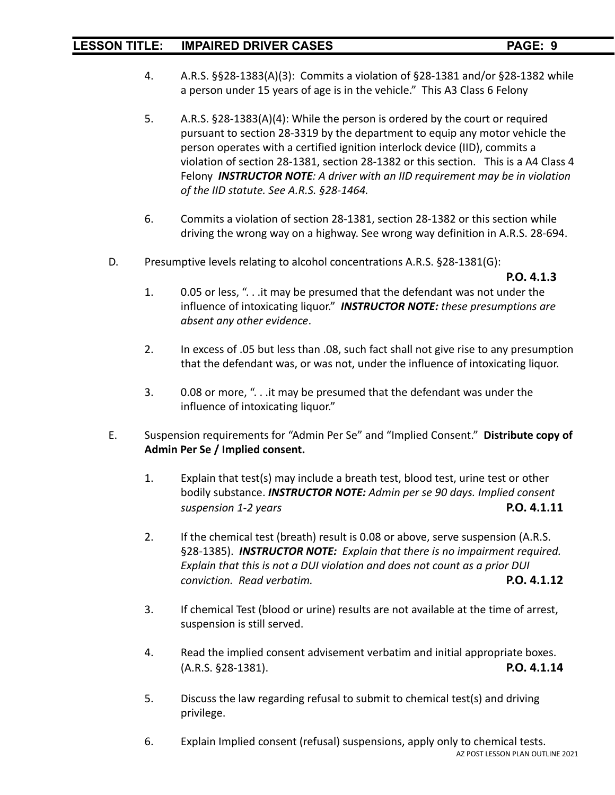- 
- 4. A.R.S. §§28-1383(A)(3): Commits a violation of §28-1381 and/or §28-1382 while a person under 15 years of age is in the vehicle." This A3 Class 6 Felony
- 5. A.R.S. §28-1383(A)(4): While the person is ordered by the court or required pursuant to section 28-3319 by the department to equip any motor vehicle the person operates with a certified ignition interlock device (IID), commits a violation of section 28-1381, section 28-1382 or this section. This is a A4 Class 4 Felony *INSTRUCTOR NOTE: A driver with an IID requirement may be in violation of the IID statute. See A.R.S. §28-1464.*
- 6. Commits a violation of section 28-1381, section 28-1382 or this section while driving the wrong way on a highway. See wrong way definition in A.R.S. 28-694.
- D. Presumptive levels relating to alcohol concentrations A.R.S. §28-1381(G):

**P.O. 4.1.3**

- 1. 0.05 or less, ". . .it may be presumed that the defendant was not under the influence of intoxicating liquor." *INSTRUCTOR NOTE: these presumptions are absent any other evidence*.
- 2. In excess of .05 but less than .08, such fact shall not give rise to any presumption that the defendant was, or was not, under the influence of intoxicating liquor.
- 3. 0.08 or more, ". . .it may be presumed that the defendant was under the influence of intoxicating liquor."
- E. Suspension requirements for "Admin Per Se" and "Implied Consent." **Distribute copy of Admin Per Se / Implied consent.**
	- 1. Explain that test(s) may include a breath test, blood test, urine test or other bodily substance. *INSTRUCTOR NOTE: Admin per se 90 days. Implied consent suspension 1-2 years* **P.O. 4.1.11**
	- 2. If the chemical test (breath) result is 0.08 or above, serve suspension (A.R.S. §28-1385). *INSTRUCTOR NOTE: Explain that there is no impairment required. Explain that this is not a DUI violation and does not count as a prior DUI conviction. Read verbatim.* **P.O. 4.1.12**
	- 3. If chemical Test (blood or urine) results are not available at the time of arrest, suspension is still served.
	- 4. Read the implied consent advisement verbatim and initial appropriate boxes. (A.R.S. §28-1381). **P.O. 4.1.14**
	- 5. Discuss the law regarding refusal to submit to chemical test(s) and driving privilege.
	- 6. Explain Implied consent (refusal) suspensions, apply only to chemical tests. AZ POST LESSON PLAN OUTLINE 2021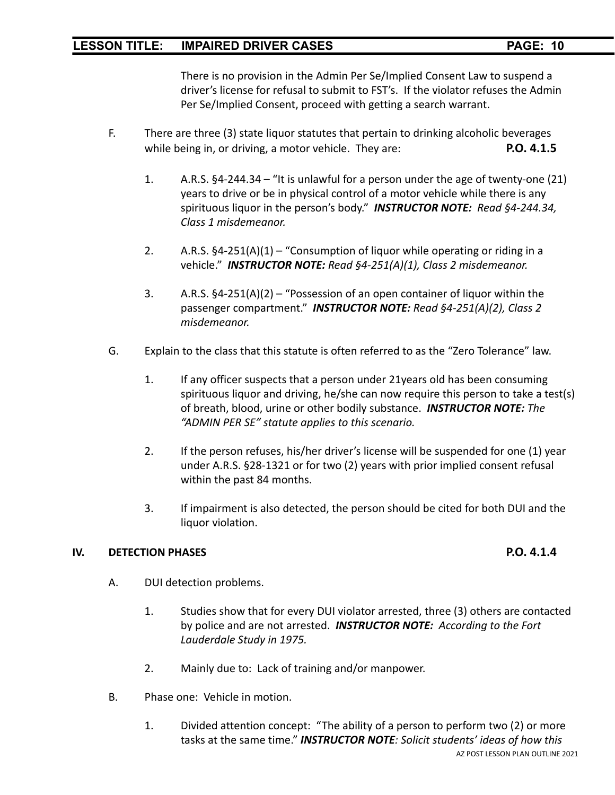There is no provision in the Admin Per Se/Implied Consent Law to suspend a driver's license for refusal to submit to FST's. If the violator refuses the Admin Per Se/Implied Consent, proceed with getting a search warrant.

- F. There are three (3) state liquor statutes that pertain to drinking alcoholic beverages while being in, or driving, a motor vehicle. They are: **P.O. 4.1.5**
	- 1. A.R.S. §4-244.34 "It is unlawful for a person under the age of twenty-one (21) years to drive or be in physical control of a motor vehicle while there is any spirituous liquor in the person's body." *INSTRUCTOR NOTE: Read §4-244.34, Class 1 misdemeanor.*
	- 2. A.R.S.  $\S4-251(A)(1)$  "Consumption of liquor while operating or riding in a vehicle." *INSTRUCTOR NOTE: Read §4-251(A)(1), Class 2 misdemeanor.*
	- 3. A.R.S. §4-251(A)(2) "Possession of an open container of liquor within the passenger compartment." *INSTRUCTOR NOTE: Read §4-251(A)(2), Class 2 misdemeanor.*
- G. Explain to the class that this statute is often referred to as the "Zero Tolerance" law.
	- 1. If any officer suspects that a person under 21years old has been consuming spirituous liquor and driving, he/she can now require this person to take a test(s) of breath, blood, urine or other bodily substance. *INSTRUCTOR NOTE: The "ADMIN PER SE" statute applies to this scenario.*
	- 2. If the person refuses, his/her driver's license will be suspended for one (1) year under A.R.S. §28-1321 or for two (2) years with prior implied consent refusal within the past 84 months.
	- 3. If impairment is also detected, the person should be cited for both DUI and the liquor violation.

#### **IV. DETECTION PHASES P.O. 4.1.4**

- A. DUI detection problems.
	- 1. Studies show that for every DUI violator arrested, three (3) others are contacted by police and are not arrested. *INSTRUCTOR NOTE: According to the Fort Lauderdale Study in 1975.*
	- 2. Mainly due to: Lack of training and/or manpower.
- B. Phase one: Vehicle in motion.
	- 1. Divided attention concept: "The ability of a person to perform two (2) or more tasks at the same time." *INSTRUCTOR NOTE: Solicit students' ideas of how this* AZ POST LESSON PLAN OUTLINE 2021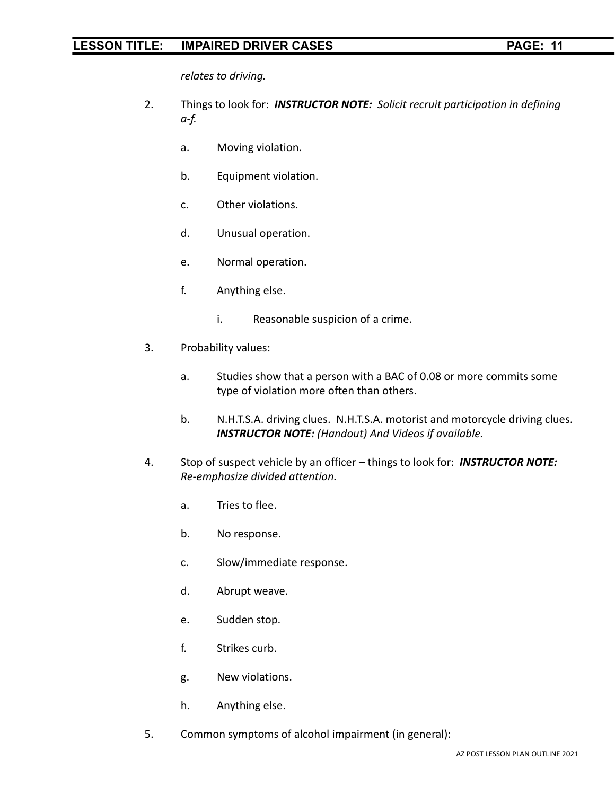*relates to driving.*

- 2. Things to look for: *INSTRUCTOR NOTE: Solicit recruit participation in defining a-f.*
	- a. Moving violation.
	- b. Equipment violation.
	- c. Other violations.
	- d. Unusual operation.
	- e. Normal operation.
	- f. Anything else.
		- i. Reasonable suspicion of a crime.
- 3. Probability values:
	- a. Studies show that a person with a BAC of 0.08 or more commits some type of violation more often than others.
	- b. N.H.T.S.A. driving clues. N.H.T.S.A. motorist and motorcycle driving clues. *INSTRUCTOR NOTE: (Handout) And Videos if available.*
- 4. Stop of suspect vehicle by an officer things to look for: *INSTRUCTOR NOTE: Re-emphasize divided attention.*
	- a. Tries to flee.
	- b. No response.
	- c. Slow/immediate response.
	- d. Abrupt weave.
	- e. Sudden stop.
	- f. Strikes curb.
	- g. New violations.
	- h. Anything else.
- 5. Common symptoms of alcohol impairment (in general):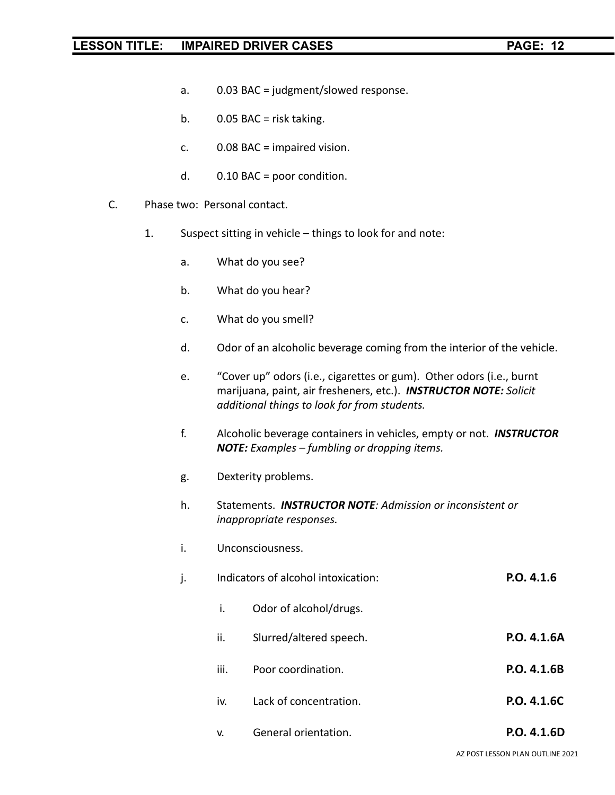- a. 0.03 BAC = judgment/slowed response.
- b.  $0.05$  BAC = risk taking.
- c.  $0.08$  BAC = impaired vision.
- d. 0.10 BAC = poor condition.
- C. Phase two: Personal contact.
	- 1. Suspect sitting in vehicle things to look for and note:
		- a. What do you see?
		- b. What do you hear?
		- c. What do you smell?
		- d. Odor of an alcoholic beverage coming from the interior of the vehicle.
		- e. "Cover up" odors (i.e., cigarettes or gum). Other odors (i.e., burnt marijuana, paint, air fresheners, etc.). *INSTRUCTOR NOTE: Solicit additional things to look for from students.*
		- f. Alcoholic beverage containers in vehicles, empty or not. *INSTRUCTOR NOTE: Examples – fumbling or dropping items.*
		- g. Dexterity problems.
		- h. Statements. *INSTRUCTOR NOTE: Admission or inconsistent or inappropriate responses.*
		- i. Unconsciousness.
		- j. Indicators of alcohol intoxication: **P.O. 4.1.6**
			- i. Odor of alcohol/drugs.
			- ii. Slurred/altered speech. **P.O. 4.1.6A**
			- iii. Poor coordination. **P.O. 4.1.6B**
			- iv. Lack of concentration. **P.O. 4.1.6C**
			- v. General orientation. **P.O. 4.1.6D**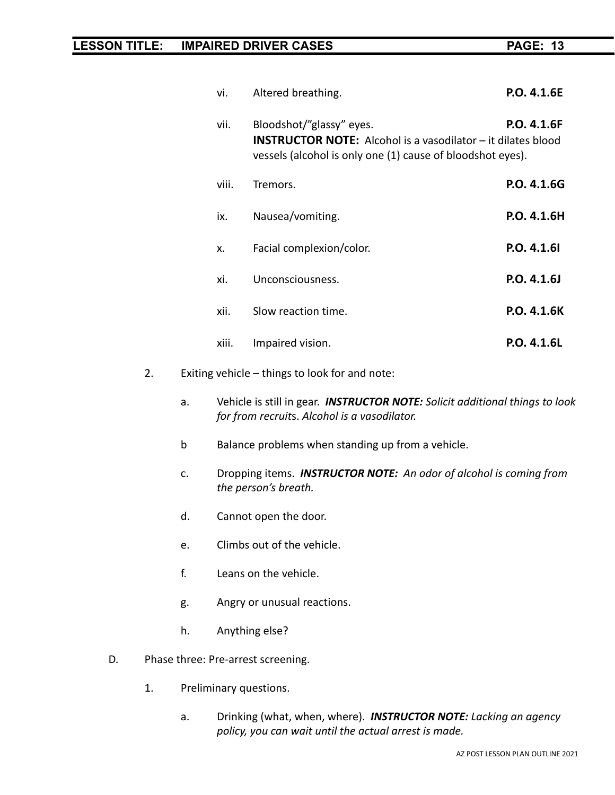| vi.   | Altered breathing.                                                                                                                                            | P.O. 4.1.6E        |
|-------|---------------------------------------------------------------------------------------------------------------------------------------------------------------|--------------------|
| vii.  | Bloodshot/"glassy" eyes.<br><b>INSTRUCTOR NOTE:</b> Alcohol is a vasodilator - it dilates blood<br>vessels (alcohol is only one (1) cause of bloodshot eyes). | <b>P.O. 4.1.6F</b> |
| viii. | Tremors.                                                                                                                                                      | P.O. 4.1.6G        |
| ix.   | Nausea/vomiting.                                                                                                                                              | P.O. 4.1.6H        |
| X.    | Facial complexion/color.                                                                                                                                      | P.O. 4.1.61        |
| xi.   | Unconsciousness.                                                                                                                                              | P.O. 4.1.6J        |
| xii.  | Slow reaction time.                                                                                                                                           | P.O. 4.1.6K        |
| xiii. | Impaired vision.                                                                                                                                              | P.O. 4.1.6L        |

- 2. Exiting vehicle things to look for and note:
	- a. Vehicle is still in gear. *INSTRUCTOR NOTE: Solicit additional things to look for from recruit*s. *Alcohol is a vasodilator.*
	- b Balance problems when standing up from a vehicle.
	- c. Dropping items. *INSTRUCTOR NOTE: An odor of alcohol is coming from the person's breath.*
	- d. Cannot open the door.
	- e. Climbs out of the vehicle.
	- f. Leans on the vehicle.
	- g. Angry or unusual reactions.
	- h. Anything else?
- D. Phase three: Pre-arrest screening.
	- 1. Preliminary questions.
		- a. Drinking (what, when, where). *INSTRUCTOR NOTE: Lacking an agency policy, you can wait until the actual arrest is made.*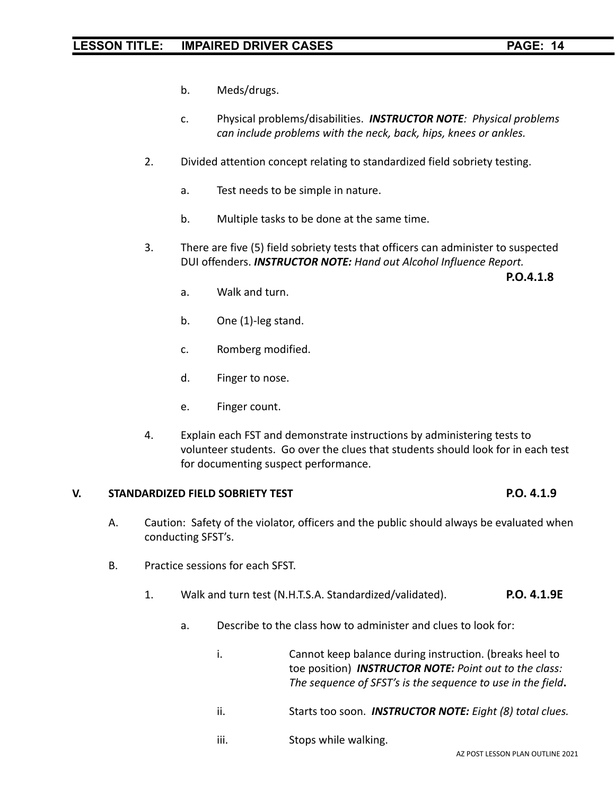- b. Meds/drugs.
- c. Physical problems/disabilities. *INSTRUCTOR NOTE: Physical problems can include problems with the neck, back, hips, knees or ankles.*
- 2. Divided attention concept relating to standardized field sobriety testing.
	- a. Test needs to be simple in nature.
	- b. Multiple tasks to be done at the same time.
- 3. There are five (5) field sobriety tests that officers can administer to suspected DUI offenders. *INSTRUCTOR NOTE: Hand out Alcohol Influence Report.*

**P.O.4.1.8**

- a. Walk and turn.
- b. One (1)-leg stand.
- c. Romberg modified.
- d. Finger to nose.
- e. Finger count.
- 4. Explain each FST and demonstrate instructions by administering tests to volunteer students. Go over the clues that students should look for in each test for documenting suspect performance.

#### **V. STANDARDIZED FIELD SOBRIETY TEST P.O. 4.1.9**

- A. Caution: Safety of the violator, officers and the public should always be evaluated when conducting SFST's.
- B. Practice sessions for each SFST.
	- 1. Walk and turn test (N.H.T.S.A. Standardized/validated). **P.O. 4.1.9E**
		- a. Describe to the class how to administer and clues to look for:
			- i. Cannot keep balance during instruction. (breaks heel to toe position) *INSTRUCTOR NOTE: Point out to the class: The sequence of SFST's is the sequence to use in the field***.**
			- ii. Starts too soon. *INSTRUCTOR NOTE: Eight (8) total clues.*
			- iii. Stops while walking.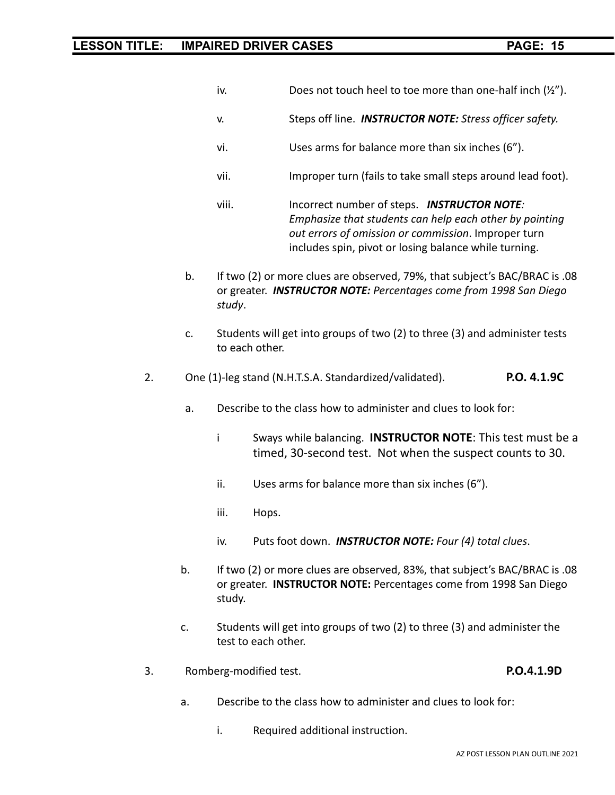| iv.   | Does not touch heel to toe more than one-half inch (1/2").                                                                                                                                                                    |
|-------|-------------------------------------------------------------------------------------------------------------------------------------------------------------------------------------------------------------------------------|
| V.    | Steps off line. <b>INSTRUCTOR NOTE:</b> Stress officer safety.                                                                                                                                                                |
| vi.   | Uses arms for balance more than six inches (6").                                                                                                                                                                              |
| vii.  | Improper turn (fails to take small steps around lead foot).                                                                                                                                                                   |
| viii. | Incorrect number of steps. <b>INSTRUCTOR NOTE:</b><br>Emphasize that students can help each other by pointing<br>out errors of omission or commission. Improper turn<br>includes spin, pivot or losing balance while turning. |

- b. If two (2) or more clues are observed, 79%, that subject's BAC/BRAC is .08 or greater. *INSTRUCTOR NOTE: Percentages come from 1998 San Diego study*.
- c. Students will get into groups of two (2) to three (3) and administer tests to each other.
- 2. One (1)-leg stand (N.H.T.S.A. Standardized/validated). **P.O. 4.1.9C**
	- a. Describe to the class how to administer and clues to look for:
		- i Sways while balancing. **INSTRUCTOR NOTE**: This test must be a timed, 30-second test. Not when the suspect counts to 30.
		- ii. Uses arms for balance more than six inches (6").
		- iii. Hops.
		- iv. Puts foot down. *INSTRUCTOR NOTE: Four (4) total clues*.
	- b. If two (2) or more clues are observed, 83%, that subject's BAC/BRAC is .08 or greater. **INSTRUCTOR NOTE:** Percentages come from 1998 San Diego study.
	- c. Students will get into groups of two (2) to three (3) and administer the test to each other.
- 3. Romberg-modified test. **P.O.4.1.9D**
	- a. Describe to the class how to administer and clues to look for:
		- i. Required additional instruction.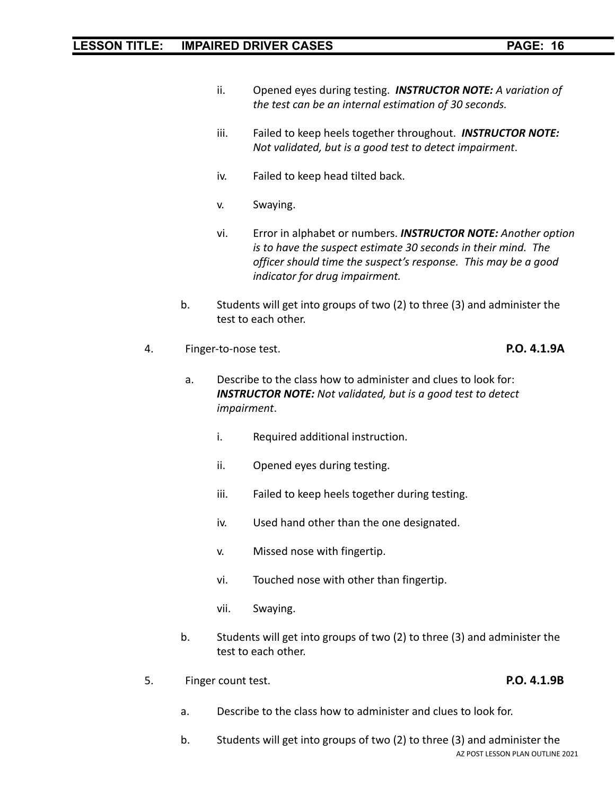- ii. Opened eyes during testing. *INSTRUCTOR NOTE: A variation of the test can be an internal estimation of 30 seconds.*
- iii. Failed to keep heels together throughout. *INSTRUCTOR NOTE: Not validated, but is a good test to detect impairment*.
- iv. Failed to keep head tilted back.
- v. Swaying.
- vi. Error in alphabet or numbers. *INSTRUCTOR NOTE: Another option is to have the suspect estimate 30 seconds in their mind. The officer should time the suspect's response. This may be a good indicator for drug impairment.*
- b. Students will get into groups of two (2) to three (3) and administer the test to each other.
- 4. Finger-to-nose test. **P.O. 4.1.9A**

- a. Describe to the class how to administer and clues to look for: *INSTRUCTOR NOTE: Not validated, but is a good test to detect impairment*.
	- i. Required additional instruction.
	- ii. Opened eyes during testing.
	- iii. Failed to keep heels together during testing.
	- iv. Used hand other than the one designated.
	- v. Missed nose with fingertip.
	- vi. Touched nose with other than fingertip.
	- vii. Swaying.
- b. Students will get into groups of two (2) to three (3) and administer the test to each other.
- 5. Finger count test. **P.O. 4.1.9B**

- a. Describe to the class how to administer and clues to look for.
- b. Students will get into groups of two (2) to three (3) and administer the AZ POST LESSON PLAN OUTLINE 2021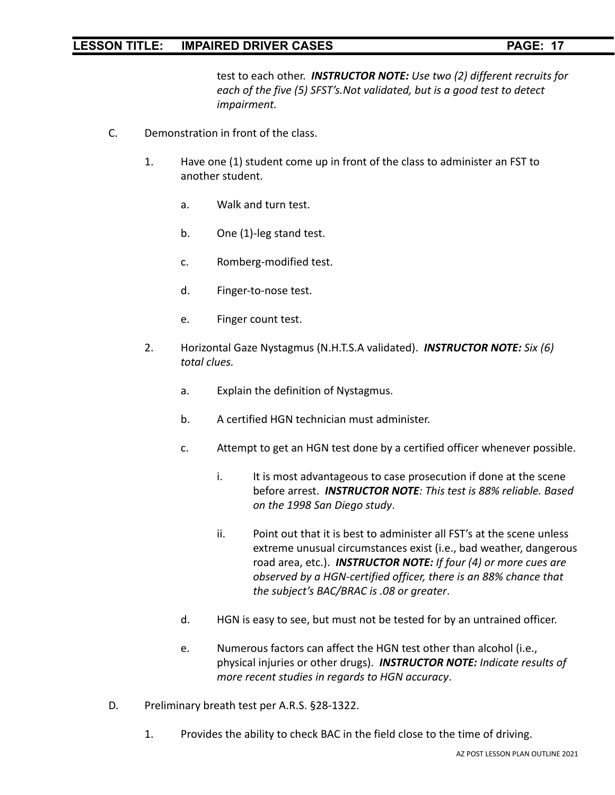test to each other. *INSTRUCTOR NOTE: Use two (2) different recruits for each of the five (5) SFST's.Not validated, but is a good test to detect impairment.*

- C. Demonstration in front of the class.
	- 1. Have one (1) student come up in front of the class to administer an FST to another student.
		- a. Walk and turn test.
		- b. One (1)-leg stand test.
		- c. Romberg-modified test.
		- d. Finger-to-nose test.
		- e. Finger count test.
	- 2. Horizontal Gaze Nystagmus (N.H.T.S.A validated). *INSTRUCTOR NOTE: Six (6) total clues.*
		- a. Explain the definition of Nystagmus.
		- b. A certified HGN technician must administer.
		- c. Attempt to get an HGN test done by a certified officer whenever possible.
			- i. It is most advantageous to case prosecution if done at the scene before arrest. *INSTRUCTOR NOTE: This test is 88% reliable. Based on the 1998 San Diego study*.
			- ii. Point out that it is best to administer all FST's at the scene unless extreme unusual circumstances exist (i.e., bad weather, dangerous road area, etc.). *INSTRUCTOR NOTE: If four (4) or more cues are observed by a HGN-certified officer, there is an 88% chance that the subject's BAC/BRAC is .08 or greater*.
		- d. HGN is easy to see, but must not be tested for by an untrained officer.
		- e. Numerous factors can affect the HGN test other than alcohol (i.e., physical injuries or other drugs). *INSTRUCTOR NOTE: Indicate results of more recent studies in regards to HGN accuracy*.
- D. Preliminary breath test per A.R.S. §28-1322.
	- 1. Provides the ability to check BAC in the field close to the time of driving.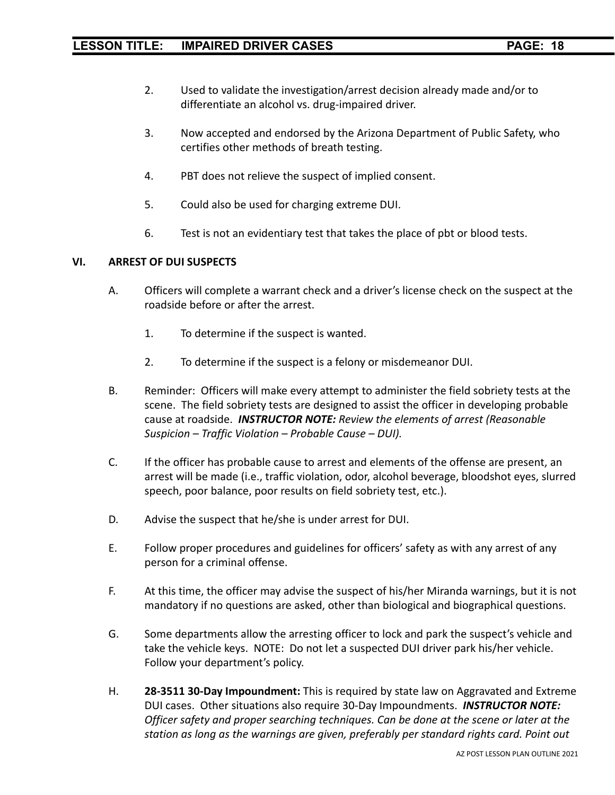- 2. Used to validate the investigation/arrest decision already made and/or to differentiate an alcohol vs. drug-impaired driver.
- 3. Now accepted and endorsed by the Arizona Department of Public Safety, who certifies other methods of breath testing.
- 4. PBT does not relieve the suspect of implied consent.
- 5. Could also be used for charging extreme DUI.
- 6. Test is not an evidentiary test that takes the place of pbt or blood tests.

#### **VI. ARREST OF DUI SUSPECTS**

- A. Officers will complete a warrant check and a driver's license check on the suspect at the roadside before or after the arrest.
	- 1. To determine if the suspect is wanted.
	- 2. To determine if the suspect is a felony or misdemeanor DUI.
- B. Reminder: Officers will make every attempt to administer the field sobriety tests at the scene. The field sobriety tests are designed to assist the officer in developing probable cause at roadside. *INSTRUCTOR NOTE: Review the elements of arrest (Reasonable Suspicion – Traffic Violation – Probable Cause – DUI).*
- C. If the officer has probable cause to arrest and elements of the offense are present, an arrest will be made (i.e., traffic violation, odor, alcohol beverage, bloodshot eyes, slurred speech, poor balance, poor results on field sobriety test, etc.).
- D. Advise the suspect that he/she is under arrest for DUI.
- E. Follow proper procedures and guidelines for officers' safety as with any arrest of any person for a criminal offense.
- F. At this time, the officer may advise the suspect of his/her Miranda warnings, but it is not mandatory if no questions are asked, other than biological and biographical questions.
- G. Some departments allow the arresting officer to lock and park the suspect's vehicle and take the vehicle keys. NOTE: Do not let a suspected DUI driver park his/her vehicle. Follow your department's policy.
- H. **28-3511 30-Day Impoundment:** This is required by state law on Aggravated and Extreme DUI cases. Other situations also require 30-Day Impoundments. *INSTRUCTOR NOTE: Officer safety and proper searching techniques. Can be done at the scene or later at the station as long as the warnings are given, preferably per standard rights card. Point out*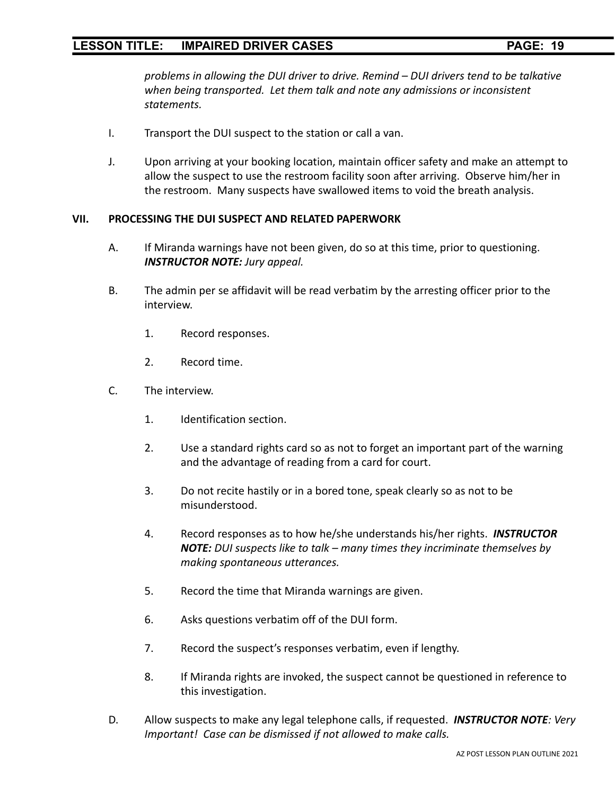*problems in allowing the DUI driver to drive. Remind – DUI drivers tend to be talkative when being transported. Let them talk and note any admissions or inconsistent statements.*

- I. Transport the DUI suspect to the station or call a van.
- J. Upon arriving at your booking location, maintain officer safety and make an attempt to allow the suspect to use the restroom facility soon after arriving. Observe him/her in the restroom. Many suspects have swallowed items to void the breath analysis.

#### **VII. PROCESSING THE DUI SUSPECT AND RELATED PAPERWORK**

- A. If Miranda warnings have not been given, do so at this time, prior to questioning. *INSTRUCTOR NOTE: Jury appeal.*
- B. The admin per se affidavit will be read verbatim by the arresting officer prior to the interview.
	- 1. Record responses.
	- 2. Record time.
- C. The interview.
	- 1. Identification section.
	- 2. Use a standard rights card so as not to forget an important part of the warning and the advantage of reading from a card for court.
	- 3. Do not recite hastily or in a bored tone, speak clearly so as not to be misunderstood.
	- 4. Record responses as to how he/she understands his/her rights. *INSTRUCTOR NOTE: DUI suspects like to talk – many times they incriminate themselves by making spontaneous utterances.*
	- 5. Record the time that Miranda warnings are given.
	- 6. Asks questions verbatim off of the DUI form.
	- 7. Record the suspect's responses verbatim, even if lengthy.
	- 8. If Miranda rights are invoked, the suspect cannot be questioned in reference to this investigation.
- D. Allow suspects to make any legal telephone calls, if requested. *INSTRUCTOR NOTE: Very Important! Case can be dismissed if not allowed to make calls.*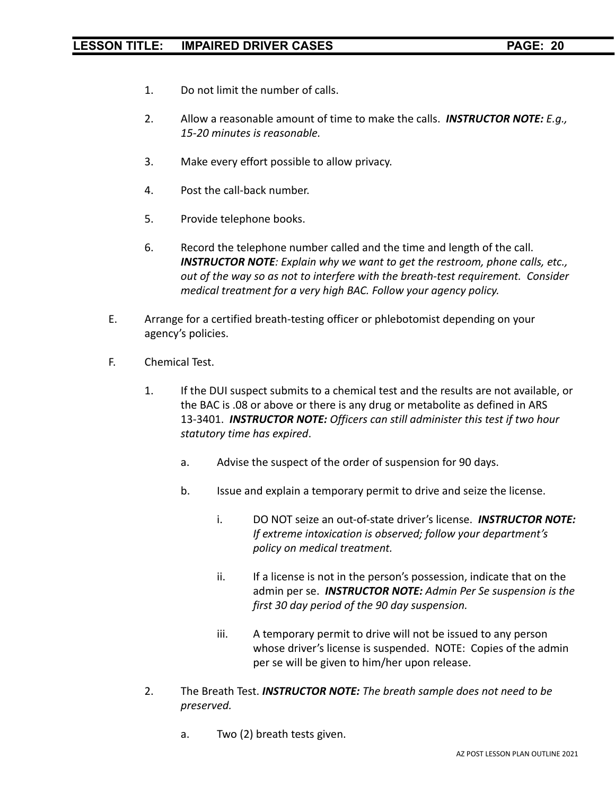- 1. Do not limit the number of calls.
- 2. Allow a reasonable amount of time to make the calls. *INSTRUCTOR NOTE: E.g., 15-20 minutes is reasonable.*
- 3. Make every effort possible to allow privacy.
- 4. Post the call-back number.
- 5. Provide telephone books.
- 6. Record the telephone number called and the time and length of the call. *INSTRUCTOR NOTE: Explain why we want to get the restroom, phone calls, etc., out of the way so as not to interfere with the breath-test requirement. Consider medical treatment for a very high BAC. Follow your agency policy.*
- E. Arrange for a certified breath-testing officer or phlebotomist depending on your agency's policies.
- F. Chemical Test.
	- 1. If the DUI suspect submits to a chemical test and the results are not available, or the BAC is .08 or above or there is any drug or metabolite as defined in ARS 13-3401. *INSTRUCTOR NOTE: Officers can still administer this test if two hour statutory time has expired*.
		- a. Advise the suspect of the order of suspension for 90 days.
		- b. Issue and explain a temporary permit to drive and seize the license.
			- i. DO NOT seize an out-of-state driver's license. *INSTRUCTOR NOTE: If extreme intoxication is observed; follow your department's policy on medical treatment.*
			- ii. If a license is not in the person's possession, indicate that on the admin per se. *INSTRUCTOR NOTE: Admin Per Se suspension is the first 30 day period of the 90 day suspension.*
			- iii. A temporary permit to drive will not be issued to any person whose driver's license is suspended. NOTE: Copies of the admin per se will be given to him/her upon release.
	- 2. The Breath Test. *INSTRUCTOR NOTE: The breath sample does not need to be preserved.*
		- a. Two (2) breath tests given.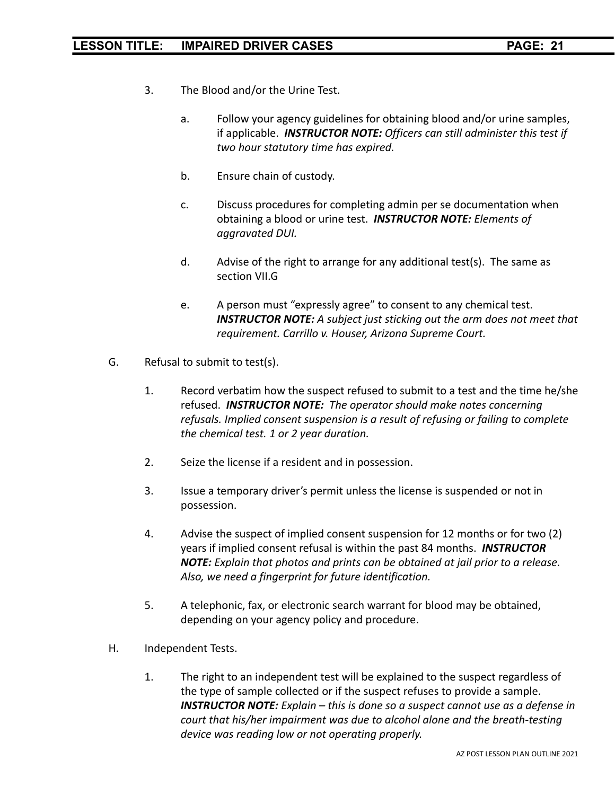- 3. The Blood and/or the Urine Test.
	- a. Follow your agency guidelines for obtaining blood and/or urine samples, if applicable. *INSTRUCTOR NOTE: Officers can still administer this test if two hour statutory time has expired.*
	- b. Ensure chain of custody.
	- c. Discuss procedures for completing admin per se documentation when obtaining a blood or urine test. *INSTRUCTOR NOTE: Elements of aggravated DUI.*
	- d. Advise of the right to arrange for any additional test(s). The same as section VII.G
	- e. A person must "expressly agree" to consent to any chemical test. *INSTRUCTOR NOTE: A subject just sticking out the arm does not meet that requirement. Carrillo v. Houser, Arizona Supreme Court.*
- G. Refusal to submit to test(s).
	- 1. Record verbatim how the suspect refused to submit to a test and the time he/she refused. *INSTRUCTOR NOTE: The operator should make notes concerning refusals. Implied consent suspension is a result of refusing or failing to complete the chemical test. 1 or 2 year duration.*
	- 2. Seize the license if a resident and in possession.
	- 3. Issue a temporary driver's permit unless the license is suspended or not in possession.
	- 4. Advise the suspect of implied consent suspension for 12 months or for two (2) years if implied consent refusal is within the past 84 months. *INSTRUCTOR NOTE: Explain that photos and prints can be obtained at jail prior to a release. Also, we need a fingerprint for future identification.*
	- 5. A telephonic, fax, or electronic search warrant for blood may be obtained, depending on your agency policy and procedure.
- H. Independent Tests.
	- 1. The right to an independent test will be explained to the suspect regardless of the type of sample collected or if the suspect refuses to provide a sample. *INSTRUCTOR NOTE: Explain – this is done so a suspect cannot use as a defense in court that his/her impairment was due to alcohol alone and the breath-testing device was reading low or not operating properly.*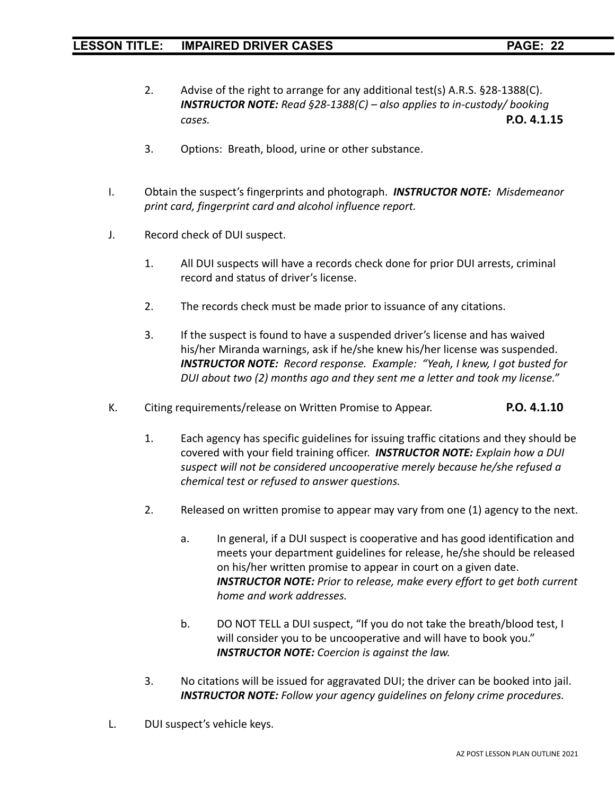- 2. Advise of the right to arrange for any additional test(s) A.R.S. §28-1388(C). *INSTRUCTOR NOTE: Read §28-1388(C) – also applies to in-custody/ booking cases.* **P.O. 4.1.15**
- 3. Options: Breath, blood, urine or other substance.
- I. Obtain the suspect's fingerprints and photograph. *INSTRUCTOR NOTE: Misdemeanor print card, fingerprint card and alcohol influence report.*
- J. Record check of DUI suspect.
	- 1. All DUI suspects will have a records check done for prior DUI arrests, criminal record and status of driver's license.
	- 2. The records check must be made prior to issuance of any citations.
	- 3. If the suspect is found to have a suspended driver's license and has waived his/her Miranda warnings, ask if he/she knew his/her license was suspended. *INSTRUCTOR NOTE: Record response. Example: "Yeah, I knew, I got busted for DUI about two (2) months ago and they sent me a letter and took my license."*
- K. Citing requirements/release on Written Promise to Appear. **P.O. 4.1.10**
	- 1. Each agency has specific guidelines for issuing traffic citations and they should be covered with your field training officer. *INSTRUCTOR NOTE: Explain how a DUI suspect will not be considered uncooperative merely because he/she refused a chemical test or refused to answer questions.*
	- 2. Released on written promise to appear may vary from one (1) agency to the next.
		- a. In general, if a DUI suspect is cooperative and has good identification and meets your department guidelines for release, he/she should be released on his/her written promise to appear in court on a given date. *INSTRUCTOR NOTE: Prior to release, make every effort to get both current home and work addresses.*
		- b. DO NOT TELL a DUI suspect, "If you do not take the breath/blood test, I will consider you to be uncooperative and will have to book you." *INSTRUCTOR NOTE: Coercion is against the law.*
	- 3. No citations will be issued for aggravated DUI; the driver can be booked into jail. *INSTRUCTOR NOTE: Follow your agency guidelines on felony crime procedures.*
- L. DUI suspect's vehicle keys.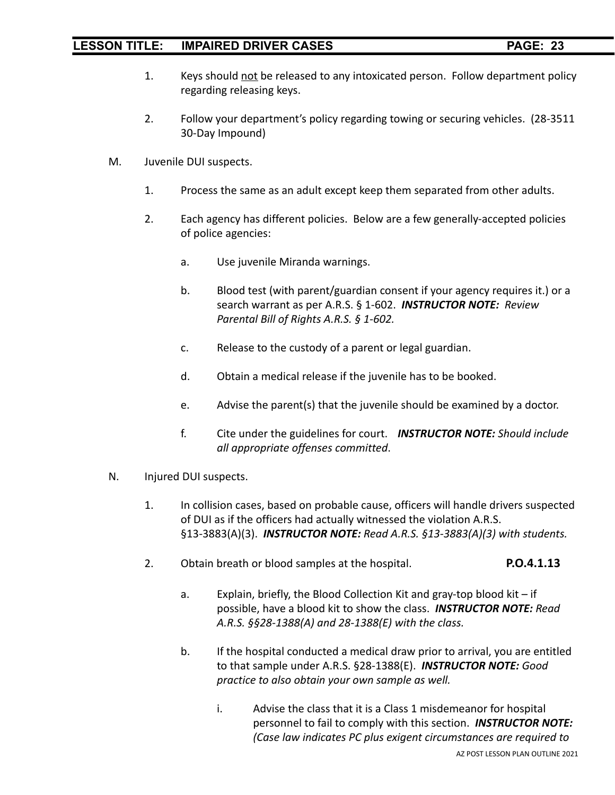- 1. Keys should not be released to any intoxicated person. Follow department policy regarding releasing keys.
- 2. Follow your department's policy regarding towing or securing vehicles. (28-3511 30-Day Impound)
- M. Juvenile DUI suspects.
	- 1. Process the same as an adult except keep them separated from other adults.
	- 2. Each agency has different policies. Below are a few generally-accepted policies of police agencies:
		- a. Use juvenile Miranda warnings.
		- b. Blood test (with parent/guardian consent if your agency requires it.) or a search warrant as per A.R.S. § 1-602. *INSTRUCTOR NOTE: Review Parental Bill of Rights A.R.S. § 1-602.*
		- c. Release to the custody of a parent or legal guardian.
		- d. Obtain a medical release if the juvenile has to be booked.
		- e. Advise the parent(s) that the juvenile should be examined by a doctor.
		- f. Cite under the guidelines for court. *INSTRUCTOR NOTE: Should include all appropriate offenses committed*.
- N. Injured DUI suspects.
	- 1. In collision cases, based on probable cause, officers will handle drivers suspected of DUI as if the officers had actually witnessed the violation A.R.S. §13-3883(A)(3). *INSTRUCTOR NOTE: Read A.R.S. §13-3883(A)(3) with students.*
	- 2. Obtain breath or blood samples at the hospital. **P.O.4.1.13**
		- a. Explain, briefly, the Blood Collection Kit and gray-top blood kit if possible, have a blood kit to show the class. *INSTRUCTOR NOTE: Read A.R.S. §§28-1388(A) and 28-1388(E) with the class.*
		- b. If the hospital conducted a medical draw prior to arrival, you are entitled to that sample under A.R.S. §28-1388(E). *INSTRUCTOR NOTE: Good practice to also obtain your own sample as well.*
			- i. Advise the class that it is a Class 1 misdemeanor for hospital personnel to fail to comply with this section. *INSTRUCTOR NOTE: (Case law indicates PC plus exigent circumstances are required to*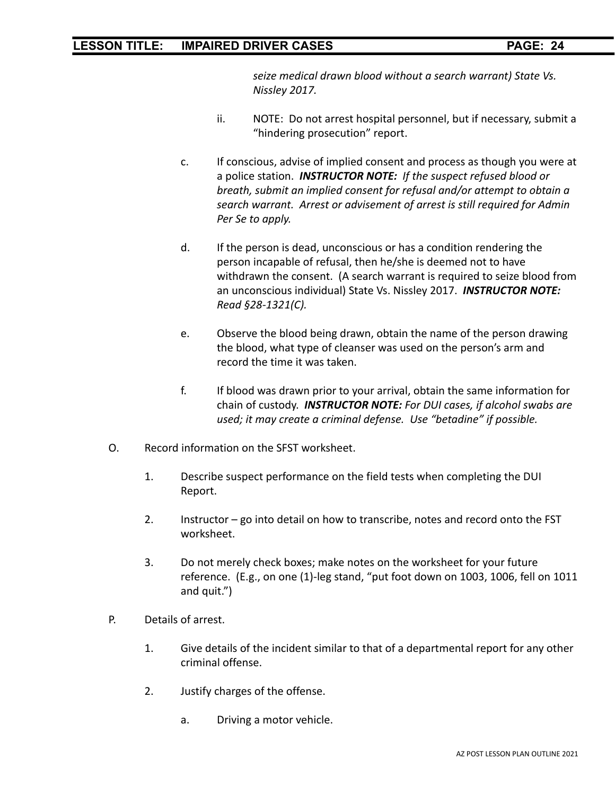*seize medical drawn blood without a search warrant) State Vs. Nissley 2017.*

- ii. NOTE: Do not arrest hospital personnel, but if necessary, submit a "hindering prosecution" report.
- c. If conscious, advise of implied consent and process as though you were at a police station. *INSTRUCTOR NOTE: If the suspect refused blood or breath, submit an implied consent for refusal and/or attempt to obtain a search warrant. Arrest or advisement of arrest is still required for Admin Per Se to apply.*
- d. If the person is dead, unconscious or has a condition rendering the person incapable of refusal, then he/she is deemed not to have withdrawn the consent. (A search warrant is required to seize blood from an unconscious individual) State Vs. Nissley 2017. *INSTRUCTOR NOTE: Read §28-1321(C).*
- e. Observe the blood being drawn, obtain the name of the person drawing the blood, what type of cleanser was used on the person's arm and record the time it was taken.
- f. If blood was drawn prior to your arrival, obtain the same information for chain of custody. *INSTRUCTOR NOTE: For DUI cases, if alcohol swabs are used; it may create a criminal defense. Use "betadine" if possible.*
- O. Record information on the SFST worksheet.
	- 1. Describe suspect performance on the field tests when completing the DUI Report.
	- 2. Instructor go into detail on how to transcribe, notes and record onto the FST worksheet.
	- 3. Do not merely check boxes; make notes on the worksheet for your future reference. (E.g., on one (1)-leg stand, "put foot down on 1003, 1006, fell on 1011 and quit.")
- P. Details of arrest.
	- 1. Give details of the incident similar to that of a departmental report for any other criminal offense.
	- 2. Justify charges of the offense.
		- a. Driving a motor vehicle.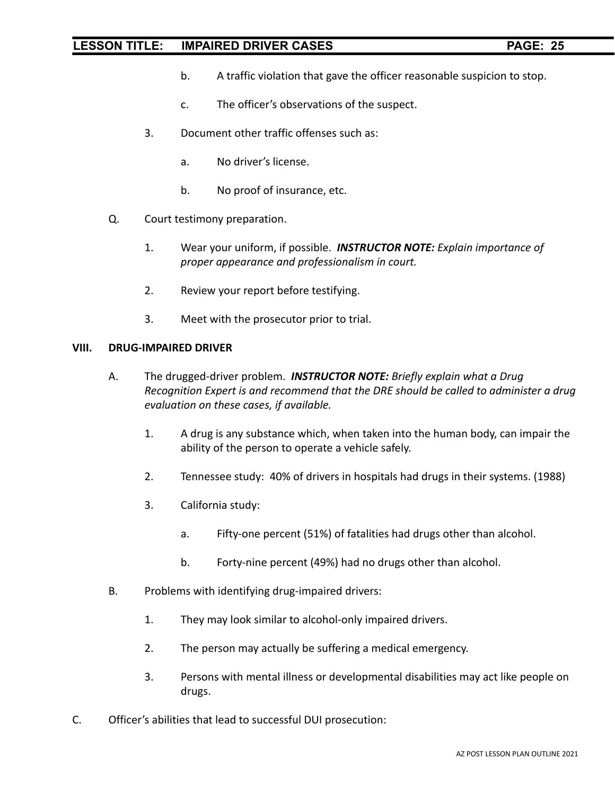- b. A traffic violation that gave the officer reasonable suspicion to stop.
- c. The officer's observations of the suspect.
- 3. Document other traffic offenses such as:
	- a. No driver's license.
	- b. No proof of insurance, etc.
- Q. Court testimony preparation.
	- 1. Wear your uniform, if possible. *INSTRUCTOR NOTE: Explain importance of proper appearance and professionalism in court.*
	- 2. Review your report before testifying.
	- 3. Meet with the prosecutor prior to trial.

#### **VIII. DRUG-IMPAIRED DRIVER**

- A. The drugged-driver problem. *INSTRUCTOR NOTE: Briefly explain what a Drug Recognition Expert is and recommend that the DRE should be called to administer a drug evaluation on these cases, if available.*
	- 1. A drug is any substance which, when taken into the human body, can impair the ability of the person to operate a vehicle safely.
	- 2. Tennessee study: 40% of drivers in hospitals had drugs in their systems. (1988)
	- 3. California study:
		- a. Fifty-one percent (51%) of fatalities had drugs other than alcohol.
		- b. Forty-nine percent (49%) had no drugs other than alcohol.
- B. Problems with identifying drug-impaired drivers:
	- 1. They may look similar to alcohol-only impaired drivers.
	- 2. The person may actually be suffering a medical emergency.
	- 3. Persons with mental illness or developmental disabilities may act like people on drugs.
- C. Officer's abilities that lead to successful DUI prosecution: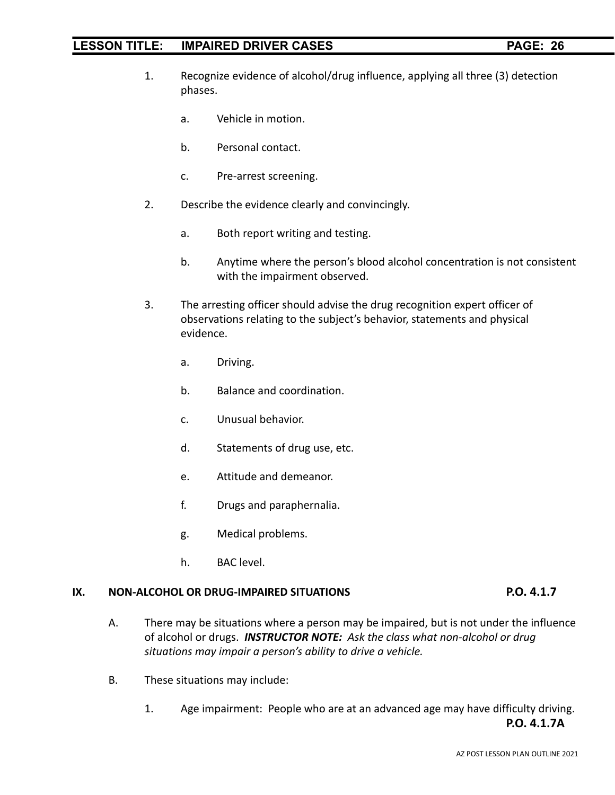- 1. Recognize evidence of alcohol/drug influence, applying all three (3) detection phases.
	- a. Vehicle in motion.
	- b. Personal contact.
	- c. Pre-arrest screening.
- 2. Describe the evidence clearly and convincingly.
	- a. Both report writing and testing.
	- b. Anytime where the person's blood alcohol concentration is not consistent with the impairment observed.
- 3. The arresting officer should advise the drug recognition expert officer of observations relating to the subject's behavior, statements and physical evidence.
	- a. Driving.
	- b. Balance and coordination.
	- c. Unusual behavior.
	- d. Statements of drug use, etc.
	- e. Attitude and demeanor.
	- f. Drugs and paraphernalia.
	- g. Medical problems.
	- h. BAC level.

#### **IX. NON-ALCOHOL OR DRUG-IMPAIRED SITUATIONS P.O. 4.1.7**

- A. There may be situations where a person may be impaired, but is not under the influence of alcohol or drugs. *INSTRUCTOR NOTE: Ask the class what non-alcohol or drug situations may impair a person's ability to drive a vehicle.*
- B. These situations may include:
	- 1. Age impairment: People who are at an advanced age may have difficulty driving.

**P.O. 4.1.7A**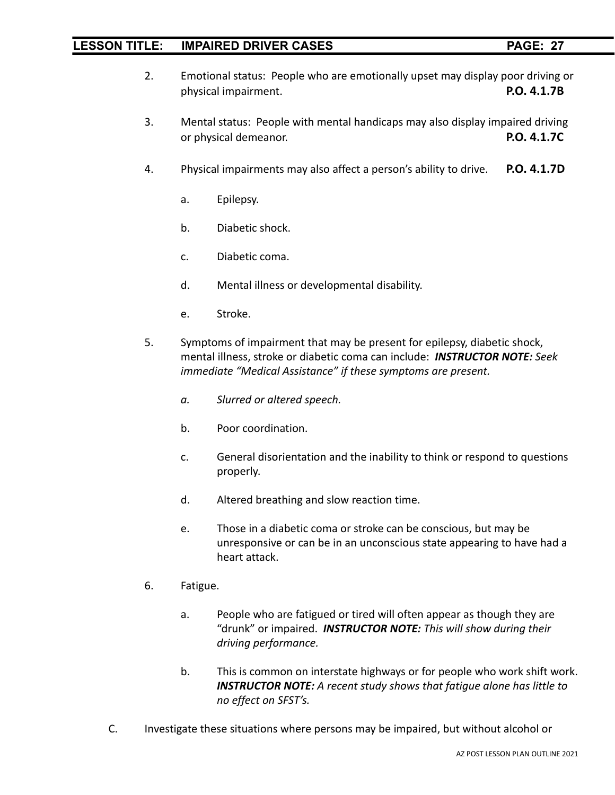- 2. Emotional status: People who are emotionally upset may display poor driving or physical impairment. **P.O. 4.1.7B**
- 3. Mental status: People with mental handicaps may also display impaired driving or physical demeanor. **P.O. 4.1.7C**
- 4. Physical impairments may also affect a person's ability to drive. **P.O. 4.1.7D**
	- a. Epilepsy.
	- b. Diabetic shock.
	- c. Diabetic coma.
	- d. Mental illness or developmental disability.
	- e. Stroke.
- 5. Symptoms of impairment that may be present for epilepsy, diabetic shock, mental illness, stroke or diabetic coma can include: *INSTRUCTOR NOTE: Seek immediate "Medical Assistance" if these symptoms are present.*
	- *a. Slurred or altered speech.*
	- b. Poor coordination.
	- c. General disorientation and the inability to think or respond to questions properly.
	- d. Altered breathing and slow reaction time.
	- e. Those in a diabetic coma or stroke can be conscious, but may be unresponsive or can be in an unconscious state appearing to have had a heart attack.
- 6. Fatigue.
	- a. People who are fatigued or tired will often appear as though they are "drunk" or impaired. *INSTRUCTOR NOTE: This will show during their driving performance.*
	- b. This is common on interstate highways or for people who work shift work. *INSTRUCTOR NOTE: A recent study shows that fatigue alone has little to no effect on SFST's.*
- C. Investigate these situations where persons may be impaired, but without alcohol or